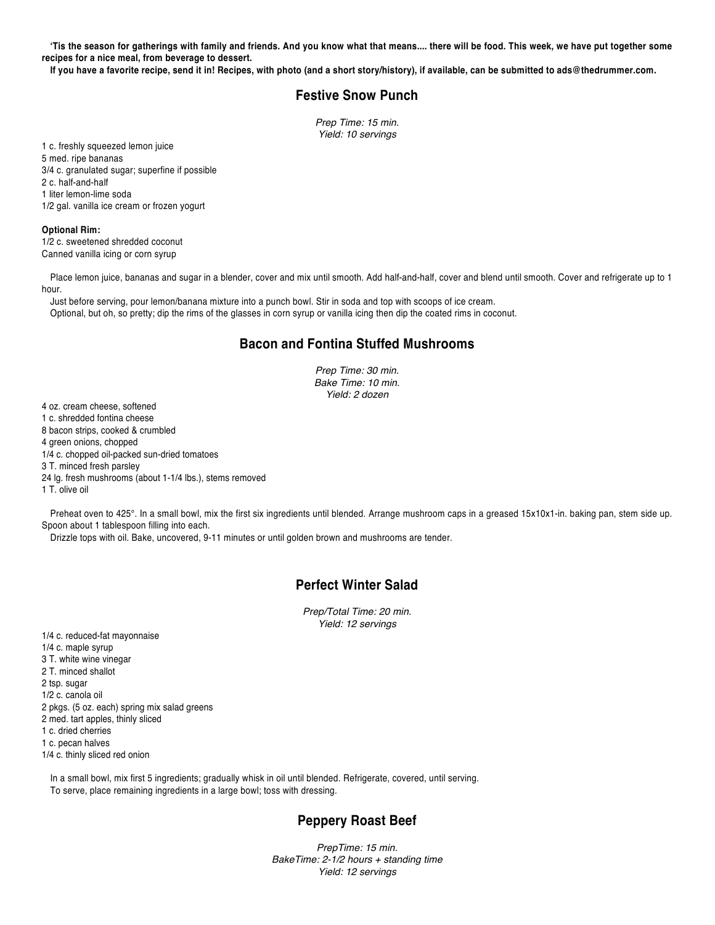**'Tis the season for gatherings with family and friends. And you know what that means.... there will be food. This week, we have put together some recipes for a nice meal, from beverage to dessert.** 

**If you have a favorite recipe, send it in! Recipes, with photo (and a short story/history), if available, can be submitted to ads@thedrummer.com.**

### **Festive Snow Punch**

*Prep Time: 15 min. Yield: 10 servings* 

1 c. freshly squeezed lemon juice 5 med. ripe bananas 3/4 c. granulated sugar; superfine if possible 2 c. half-and-half 1 liter lemon-lime soda 1/2 gal. vanilla ice cream or frozen yogurt

#### **Optional Rim:**

1/2 c. sweetened shredded coconut Canned vanilla icing or corn syrup

Place lemon juice, bananas and sugar in a blender, cover and mix until smooth. Add half-and-half, cover and blend until smooth. Cover and refrigerate up to 1 hour.

Just before serving, pour lemon/banana mixture into a punch bowl. Stir in soda and top with scoops of ice cream. Optional, but oh, so pretty; dip the rims of the glasses in corn syrup or vanilla icing then dip the coated rims in coconut.

#### **Bacon and Fontina Stuffed Mushrooms**

*Prep Time: 30 min. Bake Time: 10 min. Yield: 2 dozen*

4 oz. cream cheese, softened 1 c. shredded fontina cheese 8 bacon strips, cooked & crumbled 4 green onions, chopped 1/4 c. chopped oil-packed sun-dried tomatoes 3 T. minced fresh parsley 24 lg. fresh mushrooms (about 1-1/4 lbs.), stems removed 1 T. olive oil

Preheat oven to 425°. In a small bowl, mix the first six ingredients until blended. Arrange mushroom caps in a greased 15x10x1-in. baking pan, stem side up. Spoon about 1 tablespoon filling into each.

Drizzle tops with oil. Bake, uncovered, 9-11 minutes or until golden brown and mushrooms are tender.

## **Perfect Winter Salad**

*Prep/Total Time: 20 min. Yield: 12 servings*

1/4 c. reduced-fat mayonnaise 1/4 c. maple syrup 3 T. white wine vinegar 2 T. minced shallot 2 tsp. sugar 1/2 c. canola oil 2 pkgs. (5 oz. each) spring mix salad greens 2 med. tart apples, thinly sliced 1 c. dried cherries 1 c. pecan halves 1/4 c. thinly sliced red onion

In a small bowl, mix first 5 ingredients; gradually whisk in oil until blended. Refrigerate, covered, until serving. To serve, place remaining ingredients in a large bowl; toss with dressing.

# **Peppery Roast Beef**

*PrepTime: 15 min. BakeTime: 2-1/2 hours + standing time Yield: 12 servings*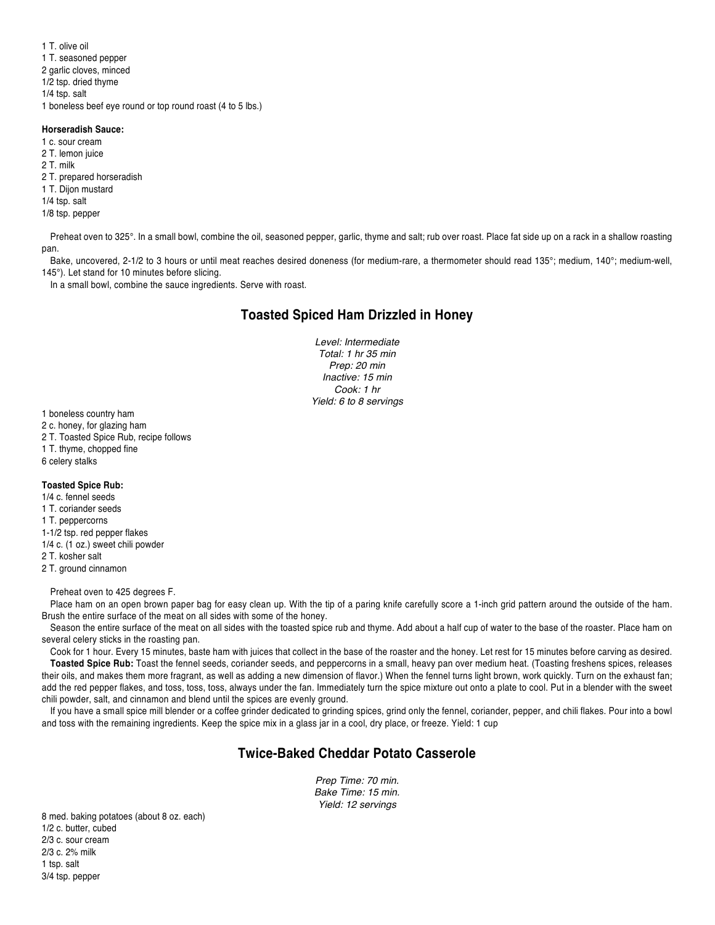1 T. olive oil 1 T. seasoned pepper 2 garlic cloves, minced 1/2 tsp. dried thyme 1/4 tsp. salt 1 boneless beef eye round or top round roast (4 to 5 lbs.)

#### **Horseradish Sauce:**

1 c. sour cream 2 T. lemon juice 2 T. milk 2 T. prepared horseradish 1 T. Dijon mustard 1/4 tsp. salt 1/8 tsp. pepper

Preheat oven to 325°. In a small bowl, combine the oil, seasoned pepper, garlic, thyme and salt; rub over roast. Place fat side up on a rack in a shallow roasting pan.

Bake, uncovered, 2-1/2 to 3 hours or until meat reaches desired doneness (for medium-rare, a thermometer should read 135°; medium, 140°; medium-well, 145°). Let stand for 10 minutes before slicing.

In a small bowl, combine the sauce ingredients. Serve with roast.

## **Toasted Spiced Ham Drizzled in Honey**

*Level: Intermediate Total: 1 hr 35 min Prep: 20 min Inactive: 15 min Cook: 1 hr Yield: 6 to 8 servings*

1 boneless country ham

- 2 c. honey, for glazing ham
- 2 T. Toasted Spice Rub, recipe follows
- 1 T. thyme, chopped fine
- 6 celery stalks

#### **Toasted Spice Rub:**

1/4 c. fennel seeds 1 T. coriander seeds 1 T. peppercorns 1-1/2 tsp. red pepper flakes 1/4 c. (1 oz.) sweet chili powder 2 T. kosher salt 2 T. ground cinnamon

Preheat oven to 425 degrees F.

Place ham on an open brown paper bag for easy clean up. With the tip of a paring knife carefully score a 1-inch grid pattern around the outside of the ham. Brush the entire surface of the meat on all sides with some of the honey.

Season the entire surface of the meat on all sides with the toasted spice rub and thyme. Add about a half cup of water to the base of the roaster. Place ham on several celery sticks in the roasting pan.

Cook for 1 hour. Every 15 minutes, baste ham with juices that collect in the base of the roaster and the honey. Let rest for 15 minutes before carving as desired. **Toasted Spice Rub:** Toast the fennel seeds, coriander seeds, and peppercorns in a small, heavy pan over medium heat. (Toasting freshens spices, releases their oils, and makes them more fragrant, as well as adding a new dimension of flavor.) When the fennel turns light brown, work quickly. Turn on the exhaust fan; add the red pepper flakes, and toss, toss, toss, always under the fan. Immediately turn the spice mixture out onto a plate to cool. Put in a blender with the sweet chili powder, salt, and cinnamon and blend until the spices are evenly ground.

If you have a small spice mill blender or a coffee grinder dedicated to grinding spices, grind only the fennel, coriander, pepper, and chili flakes. Pour into a bowl and toss with the remaining ingredients. Keep the spice mix in a glass jar in a cool, dry place, or freeze. Yield: 1 cup

### **Twice-Baked Cheddar Potato Casserole**

*Prep Time: 70 min. Bake Time: 15 min. Yield: 12 servings* 

8 med. baking potatoes (about 8 oz. each) 1/2 c. butter, cubed 2/3 c. sour cream 2/3 c. 2% milk 1 tsp. salt 3/4 tsp. pepper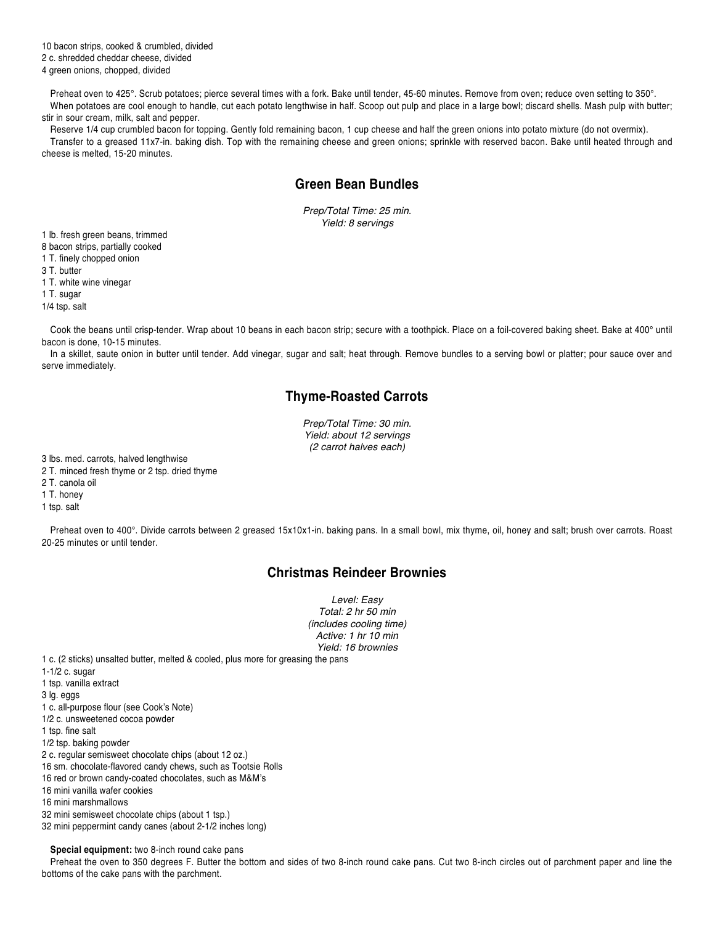10 bacon strips, cooked & crumbled, divided

2 c. shredded cheddar cheese, divided

4 green onions, chopped, divided

Preheat oven to 425°. Scrub potatoes; pierce several times with a fork. Bake until tender, 45-60 minutes. Remove from oven; reduce oven setting to 350°. When potatoes are cool enough to handle, cut each potato lengthwise in half. Scoop out pulp and place in a large bowl; discard shells. Mash pulp with butter; stir in sour cream, milk, salt and pepper.

Reserve 1/4 cup crumbled bacon for topping. Gently fold remaining bacon, 1 cup cheese and half the green onions into potato mixture (do not overmix). Transfer to a greased 11x7-in. baking dish. Top with the remaining cheese and green onions; sprinkle with reserved bacon. Bake until heated through and cheese is melted, 15-20 minutes.

# **Green Bean Bundles**

*Prep/Total Time: 25 min. Yield: 8 servings* 

1 lb. fresh green beans, trimmed

8 bacon strips, partially cooked

1 T. finely chopped onion

3 T. butter

1 T. white wine vinegar

1 T. sugar

1/4 tsp. salt

Cook the beans until crisp-tender. Wrap about 10 beans in each bacon strip; secure with a toothpick. Place on a foil-covered baking sheet. Bake at 400° until bacon is done, 10-15 minutes.

In a skillet, saute onion in butter until tender. Add vinegar, sugar and salt; heat through. Remove bundles to a serving bowl or platter; pour sauce over and serve immediately.

## **Thyme-Roasted Carrots**

*Prep/Total Time: 30 min. Yield: about 12 servings (2 carrot halves each)* 

3 lbs. med. carrots, halved lengthwise

2 T. minced fresh thyme or 2 tsp. dried thyme

2 T. canola oil

1 T. honey

1 tsp. salt

Preheat oven to 400°. Divide carrots between 2 greased 15x10x1-in. baking pans. In a small bowl, mix thyme, oil, honey and salt; brush over carrots. Roast 20-25 minutes or until tender.

# **Christmas Reindeer Brownies**

*Level: Easy Total: 2 hr 50 min (includes cooling time) Active: 1 hr 10 min Yield: 16 brownies* 

1 c. (2 sticks) unsalted butter, melted & cooled, plus more for greasing the pans

1-1/2 c. sugar

1 tsp. vanilla extract

3 lg. eggs

1 c. all-purpose flour (see Cook's Note)

1/2 c. unsweetened cocoa powder

1 tsp. fine salt

1/2 tsp. baking powder

2 c. regular semisweet chocolate chips (about 12 oz.)

16 sm. chocolate-flavored candy chews, such as Tootsie Rolls

16 red or brown candy-coated chocolates, such as M&M's

16 mini vanilla wafer cookies

16 mini marshmallows

32 mini semisweet chocolate chips (about 1 tsp.)

32 mini peppermint candy canes (about 2-1/2 inches long)

**Special equipment:** two 8-inch round cake pans

Preheat the oven to 350 degrees F. Butter the bottom and sides of two 8-inch round cake pans. Cut two 8-inch circles out of parchment paper and line the bottoms of the cake pans with the parchment.